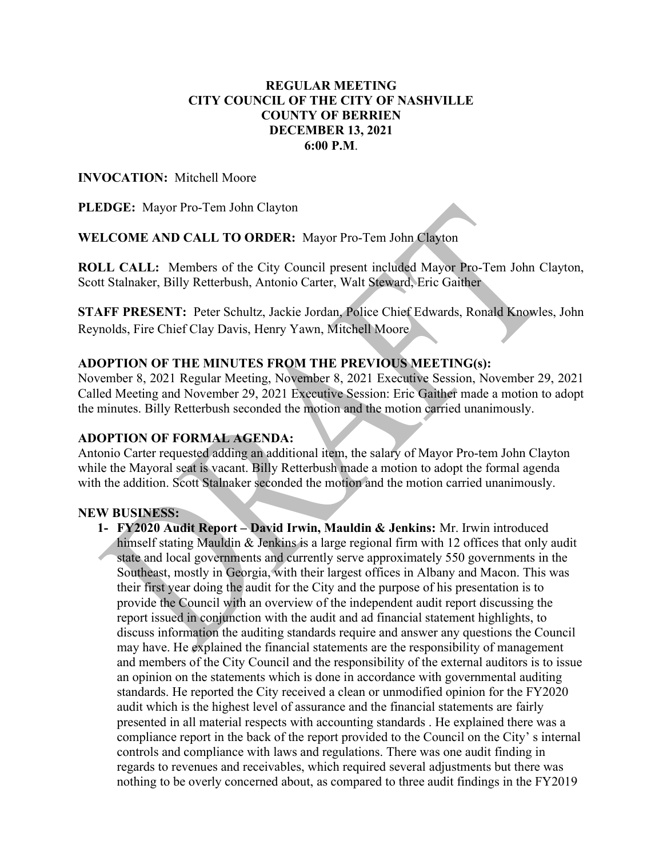# REGULAR MEETING CITY COUNCIL OF THE CITY OF NASHVILLE COUNTY OF BERRIEN DECEMBER 13, 2021 6:00 P.M.

# INVOCATION: Mitchell Moore

PLEDGE: Mayor Pro-Tem John Clayton

WELCOME AND CALL TO ORDER: Mayor Pro-Tem John Clayton

ROLL CALL: Members of the City Council present included Mayor Pro-Tem John Clayton, Scott Stalnaker, Billy Retterbush, Antonio Carter, Walt Steward, Eric Gaither

STAFF PRESENT: Peter Schultz, Jackie Jordan, Police Chief Edwards, Ronald Knowles, John Reynolds, Fire Chief Clay Davis, Henry Yawn, Mitchell Moore

### ADOPTION OF THE MINUTES FROM THE PREVIOUS MEETING(s):

November 8, 2021 Regular Meeting, November 8, 2021 Executive Session, November 29, 2021 Called Meeting and November 29, 2021 Executive Session: Eric Gaither made a motion to adopt the minutes. Billy Retterbush seconded the motion and the motion carried unanimously.

### ADOPTION OF FORMAL AGENDA:

Antonio Carter requested adding an additional item, the salary of Mayor Pro-tem John Clayton while the Mayoral seat is vacant. Billy Retterbush made a motion to adopt the formal agenda with the addition. Scott Stalnaker seconded the motion and the motion carried unanimously.

### NEW BUSINESS:

1- FY2020 Audit Report – David Irwin, Mauldin & Jenkins: Mr. Irwin introduced himself stating Mauldin & Jenkins is a large regional firm with 12 offices that only audit state and local governments and currently serve approximately 550 governments in the Southeast, mostly in Georgia, with their largest offices in Albany and Macon. This was their first year doing the audit for the City and the purpose of his presentation is to provide the Council with an overview of the independent audit report discussing the report issued in conjunction with the audit and ad financial statement highlights, to discuss information the auditing standards require and answer any questions the Council may have. He explained the financial statements are the responsibility of management and members of the City Council and the responsibility of the external auditors is to issue an opinion on the statements which is done in accordance with governmental auditing standards. He reported the City received a clean or unmodified opinion for the FY2020 audit which is the highest level of assurance and the financial statements are fairly presented in all material respects with accounting standards . He explained there was a compliance report in the back of the report provided to the Council on the City' s internal controls and compliance with laws and regulations. There was one audit finding in regards to revenues and receivables, which required several adjustments but there was nothing to be overly concerned about, as compared to three audit findings in the FY2019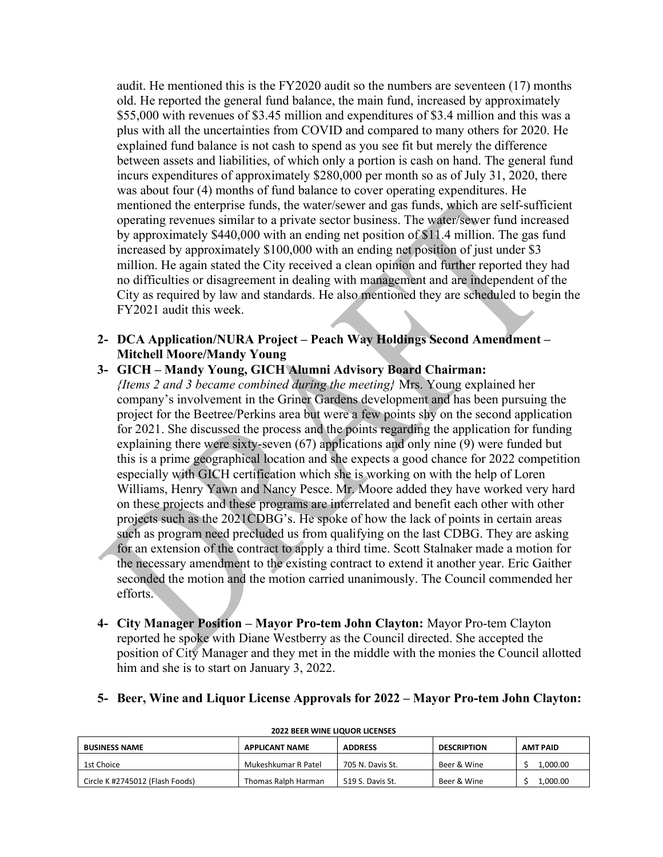audit. He mentioned this is the FY2020 audit so the numbers are seventeen (17) months old. He reported the general fund balance, the main fund, increased by approximately \$55,000 with revenues of \$3.45 million and expenditures of \$3.4 million and this was a plus with all the uncertainties from COVID and compared to many others for 2020. He explained fund balance is not cash to spend as you see fit but merely the difference between assets and liabilities, of which only a portion is cash on hand. The general fund incurs expenditures of approximately \$280,000 per month so as of July 31, 2020, there was about four (4) months of fund balance to cover operating expenditures. He mentioned the enterprise funds, the water/sewer and gas funds, which are self-sufficient operating revenues similar to a private sector business. The water/sewer fund increased by approximately \$440,000 with an ending net position of \$11.4 million. The gas fund increased by approximately \$100,000 with an ending net position of just under \$3 million. He again stated the City received a clean opinion and further reported they had no difficulties or disagreement in dealing with management and are independent of the City as required by law and standards. He also mentioned they are scheduled to begin the FY2021 audit this week.

- 2- DCA Application/NURA Project Peach Way Holdings Second Amendment Mitchell Moore/Mandy Young
- 3- GICH Mandy Young, GICH Alumni Advisory Board Chairman: {Items 2 and 3 became combined during the meeting} Mrs. Young explained her company's involvement in the Griner Gardens development and has been pursuing the project for the Beetree/Perkins area but were a few points shy on the second application for 2021. She discussed the process and the points regarding the application for funding explaining there were sixty-seven (67) applications and only nine (9) were funded but this is a prime geographical location and she expects a good chance for 2022 competition especially with GICH certification which she is working on with the help of Loren Williams, Henry Yawn and Nancy Pesce. Mr. Moore added they have worked very hard on these projects and these programs are interrelated and benefit each other with other projects such as the 2021CDBG's. He spoke of how the lack of points in certain areas such as program need precluded us from qualifying on the last CDBG. They are asking for an extension of the contract to apply a third time. Scott Stalnaker made a motion for the necessary amendment to the existing contract to extend it another year. Eric Gaither seconded the motion and the motion carried unanimously. The Council commended her efforts.
- 4- City Manager Position Mayor Pro-tem John Clayton: Mayor Pro-tem Clayton reported he spoke with Diane Westberry as the Council directed. She accepted the position of City Manager and they met in the middle with the monies the Council allotted him and she is to start on January 3, 2022.

#### 5- Beer, Wine and Liquor License Approvals for 2022 – Mayor Pro-tem John Clayton:

| <b>BUSINESS NAME</b>            | <b>APPLICANT NAME</b> | <b>ADDRESS</b>   | <b>DESCRIPTION</b> | AMT PAID |
|---------------------------------|-----------------------|------------------|--------------------|----------|
| 1st Choice                      | Mukeshkumar R Patel   | 705 N. Davis St. | Beer & Wine        | .000.00  |
| Circle K #2745012 (Flash Foods) | Thomas Ralph Harman   | 519 S. Davis St. | Beer & Wine        | ,000.00  |

#### 2022 BEER WINE LIQUOR LICENSES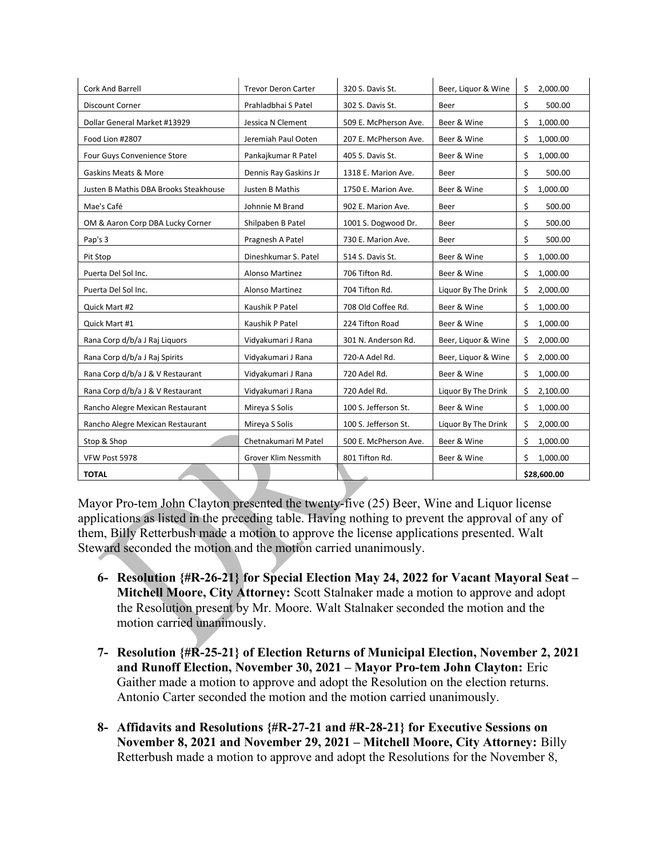| <b>Cork And Barrell</b>               | <b>Trevor Deron Carter</b>  | 320 S. Davis St.      | Beer, Liquor & Wine | Ś.<br>2,000.00 |
|---------------------------------------|-----------------------------|-----------------------|---------------------|----------------|
| <b>Discount Corner</b>                | Prahladbhai S Patel         | 302 S. Davis St.      | Beer                | \$<br>500.00   |
| Dollar General Market #13929          | Jessica N Clement           | 509 E. McPherson Ave. | Beer & Wine         | \$<br>1,000.00 |
| Food Lion #2807                       | Jeremiah Paul Ooten         | 207 E. McPherson Ave. | Beer & Wine         | \$<br>1,000.00 |
| Four Guys Convenience Store           | Pankajkumar R Patel         | 405 S. Davis St.      | Beer & Wine         | \$<br>1,000.00 |
| <b>Gaskins Meats &amp; More</b>       | Dennis Ray Gaskins Jr       | 1318 E. Marion Ave.   | Beer                | \$<br>500.00   |
| Justen B Mathis DBA Brooks Steakhouse | Justen B Mathis             | 1750 E. Marion Ave.   | Beer & Wine         | \$<br>1,000.00 |
| Mae's Café                            | Johnnie M Brand             | 902 E. Marion Ave.    | Beer                | \$<br>500.00   |
| OM & Aaron Corp DBA Lucky Corner      | Shilpaben B Patel           | 1001 S. Dogwood Dr.   | Beer                | \$<br>500.00   |
| Pap's 3                               | Pragnesh A Patel            | 730 E. Marion Ave.    | Beer                | \$<br>500.00   |
| Pit Stop                              | Dineshkumar S. Patel        | 514 S. Davis St.      | Beer & Wine         | \$<br>1,000.00 |
| Puerta Del Sol Inc.                   | <b>Alonso Martinez</b>      | 706 Tifton Rd.        | Beer & Wine         | Ś<br>1,000.00  |
| Puerta Del Sol Inc.                   | <b>Alonso Martinez</b>      | 704 Tifton Rd.        | Liquor By The Drink | Ś<br>2,000.00  |
| Quick Mart #2                         | Kaushik P Patel             | 708 Old Coffee Rd.    | Beer & Wine         | \$<br>1,000.00 |
| Quick Mart #1                         | Kaushik P Patel             | 224 Tifton Road       | Beer & Wine         | Ś.<br>1,000.00 |
| Rana Corp d/b/a J Raj Liquors         | Vidyakumari J Rana          | 301 N. Anderson Rd.   | Beer, Liquor & Wine | \$<br>2,000.00 |
| Rana Corp d/b/a J Raj Spirits         | Vidyakumari J Rana          | 720-A Adel Rd.        | Beer, Liquor & Wine | Ś<br>2,000.00  |
| Rana Corp d/b/a J & V Restaurant      | Vidyakumari J Rana          | 720 Adel Rd.          | Beer & Wine         | Ś<br>1,000.00  |
| Rana Corp d/b/a J & V Restaurant      | Vidyakumari J Rana          | 720 Adel Rd.          | Liquor By The Drink | Ś<br>2,100.00  |
| Rancho Alegre Mexican Restaurant      | Mireya S Solis              | 100 S. Jefferson St.  | Beer & Wine         | Ś<br>1,000.00  |
| Rancho Alegre Mexican Restaurant      | Mireya S Solis              | 100 S. Jefferson St.  | Liquor By The Drink | \$<br>2,000.00 |
| Stop & Shop                           | Chetnakumari M Patel        | 500 E. McPherson Ave. | Beer & Wine         | \$<br>1,000.00 |
| VFW Post 5978                         | <b>Grover Klim Nessmith</b> | 801 Tifton Rd.        | Beer & Wine         | Ś.<br>1,000.00 |
| <b>TOTAL</b>                          |                             |                       |                     | \$28,600.00    |

Mayor Pro-tem John Clayton presented the twenty-five (25) Beer, Wine and Liquor license applications as listed in the preceding table. Having nothing to prevent the approval of any of them, Billy Retterbush made a motion to approve the license applications presented. Walt Steward seconded the motion and the motion carried unanimously.

- 6- Resolution {#R-26-21} for Special Election May 24, 2022 for Vacant Mayoral Seat Mitchell Moore, City Attorney: Scott Stalnaker made a motion to approve and adopt the Resolution present by Mr. Moore. Walt Stalnaker seconded the motion and the motion carried unanimously.
- 7- Resolution {#R-25-21} of Election Returns of Municipal Election, November 2, 2021 and Runoff Election, November 30, 2021 – Mayor Pro-tem John Clayton: Eric Gaither made a motion to approve and adopt the Resolution on the election returns. Antonio Carter seconded the motion and the motion carried unanimously.
- 8- Affidavits and Resolutions {#R-27-21 and #R-28-21} for Executive Sessions on November 8, 2021 and November 29, 2021 – Mitchell Moore, City Attorney: Billy Retterbush made a motion to approve and adopt the Resolutions for the November 8,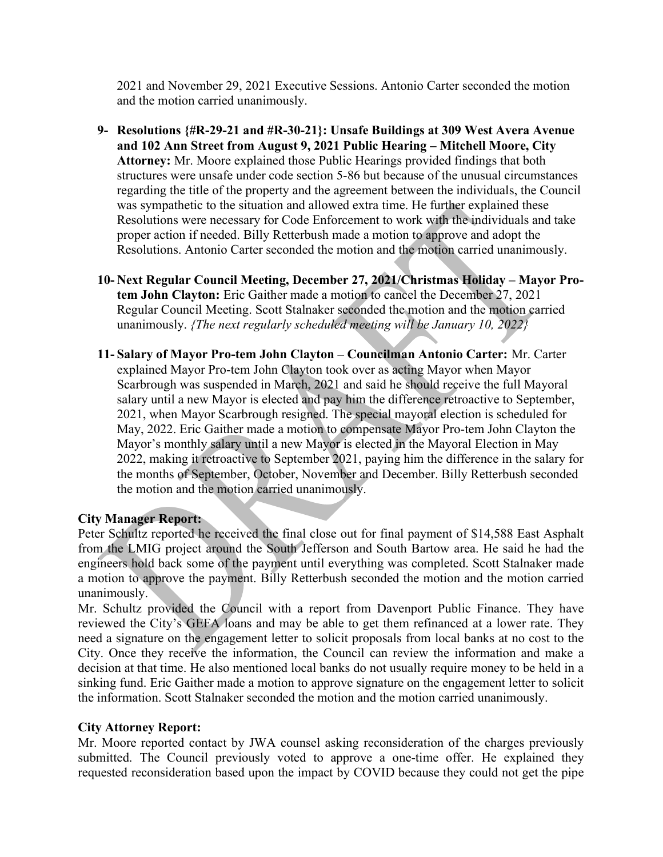2021 and November 29, 2021 Executive Sessions. Antonio Carter seconded the motion and the motion carried unanimously.

- 9- Resolutions {#R-29-21 and #R-30-21}: Unsafe Buildings at 309 West Avera Avenue and 102 Ann Street from August 9, 2021 Public Hearing – Mitchell Moore, City Attorney: Mr. Moore explained those Public Hearings provided findings that both structures were unsafe under code section 5-86 but because of the unusual circumstances regarding the title of the property and the agreement between the individuals, the Council was sympathetic to the situation and allowed extra time. He further explained these Resolutions were necessary for Code Enforcement to work with the individuals and take proper action if needed. Billy Retterbush made a motion to approve and adopt the Resolutions. Antonio Carter seconded the motion and the motion carried unanimously.
- 10- Next Regular Council Meeting, December 27, 2021/Christmas Holiday Mayor Protem John Clayton: Eric Gaither made a motion to cancel the December 27, 2021 Regular Council Meeting. Scott Stalnaker seconded the motion and the motion carried unanimously. *{The next regularly scheduled meeting will be January 10, 2022}*
- 11- Salary of Mayor Pro-tem John Clayton Councilman Antonio Carter: Mr. Carter explained Mayor Pro-tem John Clayton took over as acting Mayor when Mayor Scarbrough was suspended in March, 2021 and said he should receive the full Mayoral salary until a new Mayor is elected and pay him the difference retroactive to September, 2021, when Mayor Scarbrough resigned. The special mayoral election is scheduled for May, 2022. Eric Gaither made a motion to compensate Mayor Pro-tem John Clayton the Mayor's monthly salary until a new Mayor is elected in the Mayoral Election in May 2022, making it retroactive to September 2021, paying him the difference in the salary for the months of September, October, November and December. Billy Retterbush seconded the motion and the motion carried unanimously.

# City Manager Report:

Peter Schultz reported he received the final close out for final payment of \$14,588 East Asphalt from the LMIG project around the South Jefferson and South Bartow area. He said he had the engineers hold back some of the payment until everything was completed. Scott Stalnaker made a motion to approve the payment. Billy Retterbush seconded the motion and the motion carried unanimously.

Mr. Schultz provided the Council with a report from Davenport Public Finance. They have reviewed the City's GEFA loans and may be able to get them refinanced at a lower rate. They need a signature on the engagement letter to solicit proposals from local banks at no cost to the City. Once they receive the information, the Council can review the information and make a decision at that time. He also mentioned local banks do not usually require money to be held in a sinking fund. Eric Gaither made a motion to approve signature on the engagement letter to solicit the information. Scott Stalnaker seconded the motion and the motion carried unanimously.

### City Attorney Report:

Mr. Moore reported contact by JWA counsel asking reconsideration of the charges previously submitted. The Council previously voted to approve a one-time offer. He explained they requested reconsideration based upon the impact by COVID because they could not get the pipe